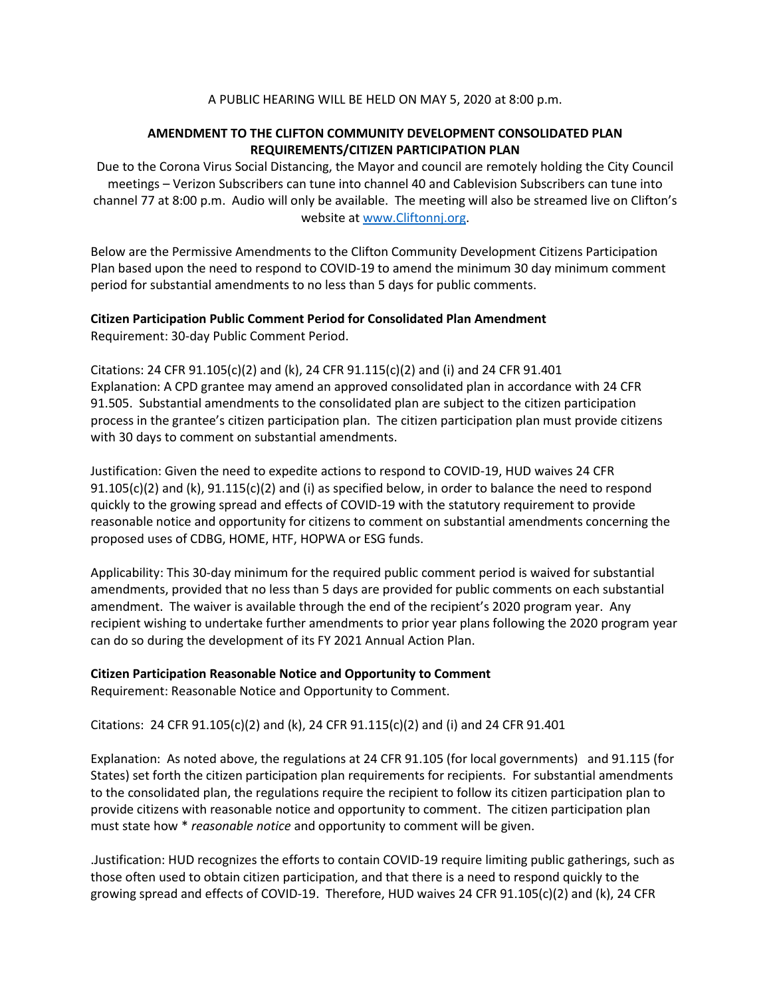## A PUBLIC HEARING WILL BE HELD ON MAY 5, 2020 at 8:00 p.m.

## **AMENDMENT TO THE CLIFTON COMMUNITY DEVELOPMENT CONSOLIDATED PLAN REQUIREMENTS/CITIZEN PARTICIPATION PLAN**

Due to the Corona Virus Social Distancing, the Mayor and council are remotely holding the City Council meetings – Verizon Subscribers can tune into channel 40 and Cablevision Subscribers can tune into channel 77 at 8:00 p.m. Audio will only be available. The meeting will also be streamed live on Clifton's website at [www.Cliftonnj.org.](http://www.cliftonnj.org/)

Below are the Permissive Amendments to the Clifton Community Development Citizens Participation Plan based upon the need to respond to COVID-19 to amend the minimum 30 day minimum comment period for substantial amendments to no less than 5 days for public comments.

## **Citizen Participation Public Comment Period for Consolidated Plan Amendment** Requirement: 30-day Public Comment Period.

Citations: 24 CFR  $91.105(c)(2)$  and (k), 24 CFR  $91.115(c)(2)$  and (i) and 24 CFR  $91.401$ Explanation: A CPD grantee may amend an approved consolidated plan in accordance with 24 CFR 91.505. Substantial amendments to the consolidated plan are subject to the citizen participation process in the grantee's citizen participation plan. The citizen participation plan must provide citizens with 30 days to comment on substantial amendments.

Justification: Given the need to expedite actions to respond to COVID-19, HUD waives 24 CFR  $91.105(c)(2)$  and (k),  $91.115(c)(2)$  and (i) as specified below, in order to balance the need to respond quickly to the growing spread and effects of COVID-19 with the statutory requirement to provide reasonable notice and opportunity for citizens to comment on substantial amendments concerning the proposed uses of CDBG, HOME, HTF, HOPWA or ESG funds.

Applicability: This 30-day minimum for the required public comment period is waived for substantial amendments, provided that no less than 5 days are provided for public comments on each substantial amendment. The waiver is available through the end of the recipient's 2020 program year. Any recipient wishing to undertake further amendments to prior year plans following the 2020 program year can do so during the development of its FY 2021 Annual Action Plan.

## **Citizen Participation Reasonable Notice and Opportunity to Comment**

Requirement: Reasonable Notice and Opportunity to Comment.

Citations: 24 CFR  $91.105(c)(2)$  and (k), 24 CFR  $91.115(c)(2)$  and (i) and 24 CFR  $91.401$ 

Explanation: As noted above, the regulations at 24 CFR 91.105 (for local governments) and 91.115 (for States) set forth the citizen participation plan requirements for recipients. For substantial amendments to the consolidated plan, the regulations require the recipient to follow its citizen participation plan to provide citizens with reasonable notice and opportunity to comment. The citizen participation plan must state how \* *reasonable notice* and opportunity to comment will be given.

.Justification: HUD recognizes the efforts to contain COVID-19 require limiting public gatherings, such as those often used to obtain citizen participation, and that there is a need to respond quickly to the growing spread and effects of COVID-19. Therefore, HUD waives 24 CFR 91.105(c)(2) and (k), 24 CFR